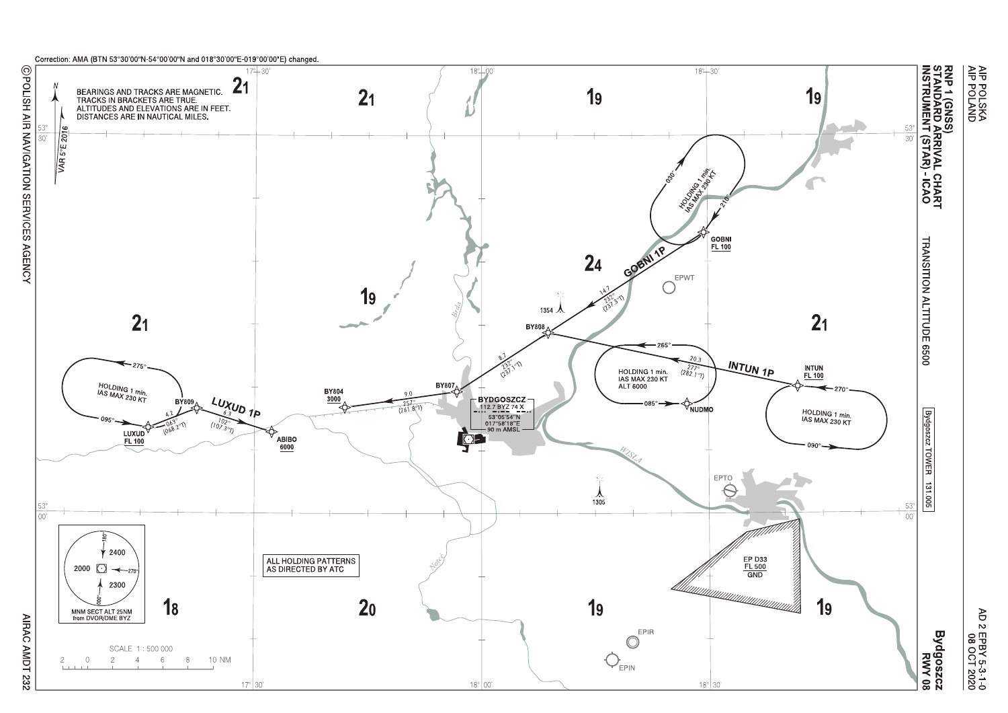